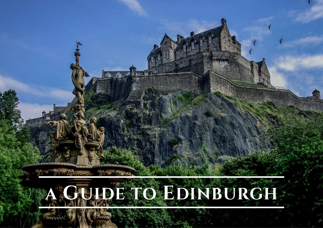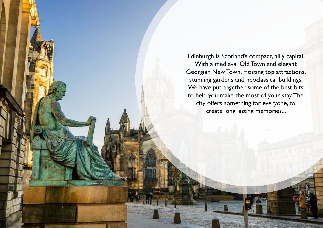Edinburgh is Scotland's compact, hilly capital. With a medieval Old Town and elegant Georgian New Town. Hosting top attractions, stunning gardens and neoclassical buildings. We have put together some of the best bits to help you make the most of your stay. The city offers something for everyone, to create long lasting memories...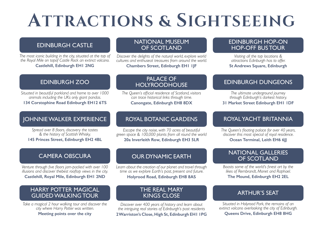# **ATTRACTIONS & SIGHTSEEING**

### EDINBURGH CASTLE

*The most iconic building in the city, situated at the top of the Royal Mile on topof Castle Rock an extinct volcano.* **Castlehill, Edinburgh EH1 2NG**

### NATIONAL MUSEUM OF SCOTLAND

*Discover the delights of the natural world, explore world cultures and enthuseat treasures from around the world.*

**Chambers Street, Edinburgh EH1 1JF**

## EDINBURGH ZOO

*Situated in beautiful parkland and home to over 1000 animals including the UKs only giant pandas.* **134 Corstophine Road Edinburgh EH12 6TS**

### JOHNNIE WALKER EXPERIENCE

*Spread over 8 floors, discovery the tastes & the history of Scottish Whisky.* **145 Princes Street, Edinburgh EH2 4BL**

### PALACE OF **HOLYROODHOUSE**

*The Queen's official residence of Scotland, visitors can trace historical links through time.* **Canongate, Edinburgh EH8 8DX**

## ROYAL BOTANIC GARDENS

*Escape the city noise, with 70 acres of beautiful green space & 100,000 plants from all round the world* **20a Inverleith Row, Edinburgh EH3 5LR**

### CAMERA OBSCURA

*Venture through five floors jam-packed with over 100 illusions and discover thebest rooftop views in the city.*

**Castlehill, Royal Mile, Edinburgh EH1 2ND**

### HARRY POTTER MAGICAL GUIDED WALKING TOUR

*Take a magical 2 hour walking tour and discover the city where Harry Potter was written.* **Meeting points over the city**

## OUR DYNAMIC EARTH

*Learn about the creation of our planet and travel through time as we explore Earth's past, present and future.* **Holyrood Road, Edinburgh EH8 8AS**

### THE REAL MARY KINGS CLOSE

*Discover over 400 years of history and learn about the intriguing real stories of Edinburgh's past residents* **2 Warriston's Close, High St, Edinburgh EH1 1PG** VALKING TOUR<br>
NEW KINGS CLOSE<br>
NEW KINGS CLOSE<br>
Discover over 400 years of history and learn about<br>
Harry Potter was written.<br>
Discover over 400 years of history and learn about<br>
THE NEWE TANK<br>
KINGS CLOSE<br>
Discover over 4

### EDINBURGH HOP-ON HOP-OFF BUS TOUR

*Visiting all the top locations & attractions Edinburgh has to offer.* **St Andrews Square, Edinburgh**

### EDINBURGH DUNGEONS

*The ultimate underground journey through Edinburgh's darkest history.*  **31 Market Street Edinburgh EH1 1DF**

### ROYAL YACHT BRITANNIA

*The Queen's floating palace for over 40 years, discover this most special of royal residence.* **Ocean Terminal, Leith EH6 6JJ**

### NATIONAL GALLERIES OF SCOTLAND

*Boasts some of the world's finest art by the likes of Rembrandt, Monet and Raphael.* **The Mound, Edinburgh EH2 2EL**

*Situated in Holyrood Park, the remains of an extinct volcano overlooking the city of Edinburgh.*  **Queens Drive, Edinburgh EH8 8HG**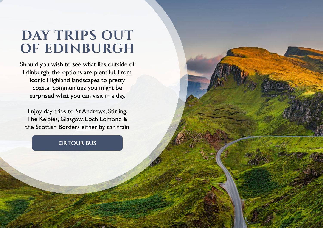# **DAY TRIPS OUT OF EDINBURGH**

Should you wish to see what lies outside of Edinburgh, the options are plentiful. From iconic Highland landscapes to pretty coastal communities you might be surprised what you can visit in a day.

Enjoy day trips to St Andrews, Stirling, The Kelpies, Glasgow, Loch Lomond & the Scottish Borders either by car, train

## OR TOUR BUS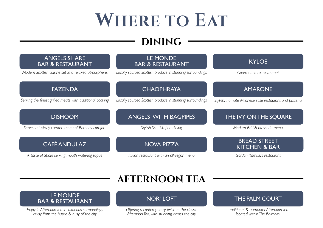# **WHERE TO EAT**

## **DINING**



# **AFTERNOON TEA**

# LE MONDE<br>BAR & RESTAURANT

*Enjoy in Afternoon Tea in luxurious surroundings away from the hustle & busy of the city*

*Offering a contemporary twist on the classic Afternoon Tea, with stunning across the city.*

*Traditional & upmarket Afternoon Tea located within The Balmoral*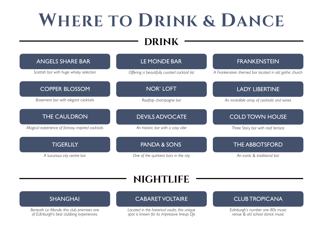# **WHERE TO DRINK & DANCE**

## **DRINK**

| <b>ANGELS SHARE BAR</b>                          | LE MONDE BAR                                 | <b>FRANKENSTEIN</b>                                    |
|--------------------------------------------------|----------------------------------------------|--------------------------------------------------------|
| Scottish bar with huge whisky selection          | Offering a beautifully curated cocktail list | A Frankenstein themed bar located in old gothic church |
| <b>COPPER BLOSSOM</b>                            | <b>NOR' LOFT</b>                             | <b>LADY LIBERTINE</b>                                  |
| Basement bar with elegant cocktails              | Rooftop champagne bar                        | An incredible array of cocktails and wines             |
| <b>THE CAULDRON</b>                              | <b>DEVILS ADVOCATE</b>                       | <b>COLD TOWN HOUSE</b>                                 |
| Magical experience of fantasy inspired cocktails | An historic bar with a cosy vibe             | Three Story bar with roof terrace                      |
| <b>TIGERLILY</b>                                 | <b>PANDA &amp; SONS</b>                      | <b>THE ABBOTSFORD</b>                                  |
| A luxurious city centre bar                      | One of the quirkiest bars in the city        | An iconic & traditional bar                            |
|                                                  | <b>NIGHTLIFE</b>                             |                                                        |
|                                                  |                                              |                                                        |
| <b>SHANGHAI</b>                                  | <b>CABARET VOLTAIRE</b>                      | <b>CLUB TROPICANA</b>                                  |

## **nightlife**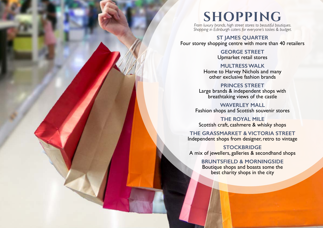# **SHOPPING**

*From luxury brands, high street stores to beautiful boutiques. Shopping in Edinburgh caters for everyone's tastes & budget.*

**ST JAMES QUARTER** Four storey shopping centre with more than 40 retailers

> **GEORGE STREET** Upmarket retail stores

**MULTRESS WALK** Home to Harvey Nichols and many other exclusive fashion brands

**PRINCES STREET** Large brands & independent shops with breathtaking views of the castle

**WAVERLEY MALL** Fashion shops and Scottish souvenir stores

**THE ROYAL MILE** Scottish craft, cashmere & whisky shops

**THE GRASSMARKET & VICTORIA STREET** Independent shops from designer, retro to vintage

**STOCKBRIDGE** A mix of jewellers, galleries & secondhand shops

> **BRUNTSFIELD & MORNINGSIDE** Boutique shops and boasts some the best charity shops in the city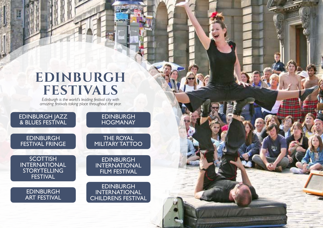# **EDINBURGH FESTIVALS**

*Edinburgh is the world's leading festival city with amazing festivals taking place throughout the year.*

EDINBURGH JAZZ & BLUES FESTIVAL EDINBURGH EDINBURGH

FESTIVAL FRINGE

**SCOTTISH** INTERNATIONAL **STORYTELLING FESTIVAL** 

> EDINBURGH ART FESTIVAL

**HOGMANAY** 

**CATHE** 

THE ROYAL MILITARY TATTOO

**EDINBURGH** INTERNATIONAL FILM FESTIVAL

EDINBURGH INTERNATIONAL CHILDRENS FESTIVAL

**WEIGHT RE**